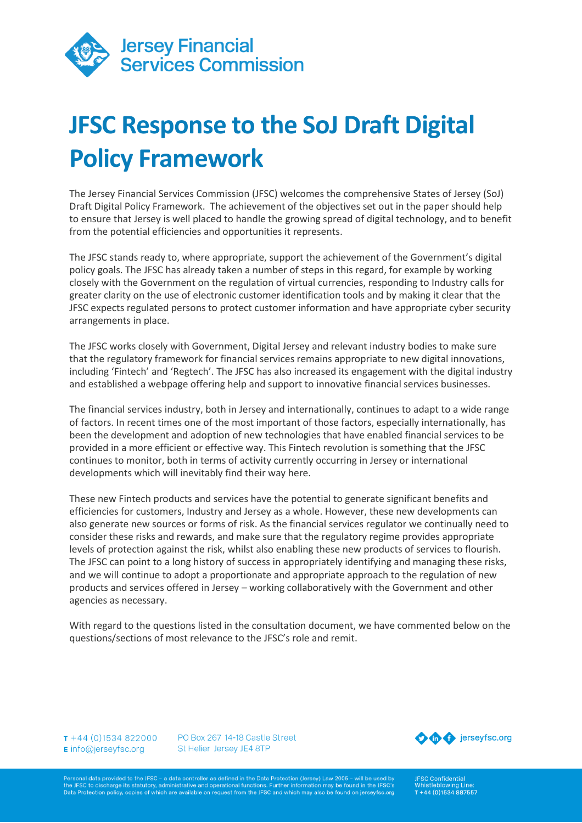

# **JFSC Response to the SoJ Draft Digital Policy Framework**

The Jersey Financial Services Commission (JFSC) welcomes the comprehensive States of Jersey (SoJ) Draft Digital Policy Framework. The achievement of the objectives set out in the paper should help to ensure that Jersey is well placed to handle the growing spread of digital technology, and to benefit from the potential efficiencies and opportunities it represents.

The JFSC stands ready to, where appropriate, support the achievement of the Government's digital policy goals. The JFSC has already taken a number of steps in this regard, for example by working closely with the Government on the regulation of virtual currencies, responding to Industry calls for greater clarity on the use of electronic customer identification tools and by making it clear that the JFSC expects regulated persons to protect customer information and have appropriate cyber security arrangements in place.

The JFSC works closely with Government, Digital Jersey and relevant industry bodies to make sure that the regulatory framework for financial services remains appropriate to new digital innovations, including 'Fintech' and 'Regtech'. The JFSC has also increased its engagement with the digital industry and established a webpage offering help and support to innovative financial services businesses.

The financial services industry, both in Jersey and internationally, continues to adapt to a wide range of factors. In recent times one of the most important of those factors, especially internationally, has been the development and adoption of new technologies that have enabled financial services to be provided in a more efficient or effective way. This Fintech revolution is something that the JFSC continues to monitor, both in terms of activity currently occurring in Jersey or international developments which will inevitably find their way here.

These new Fintech products and services have the potential to generate significant benefits and efficiencies for customers, Industry and Jersey as a whole. However, these new developments can also generate new sources or forms of risk. As the financial services regulator we continually need to consider these risks and rewards, and make sure that the regulatory regime provides appropriate levels of protection against the risk, whilst also enabling these new products of services to flourish. The JFSC can point to a long history of success in appropriately identifying and managing these risks, and we will continue to adopt a proportionate and appropriate approach to the regulation of new products and services offered in Jersey – working collaboratively with the Government and other agencies as necessary.

With regard to the questions listed in the consultation document, we have commented below on the questions/sections of most relevance to the JFSC's role and remit.

 $T + 44(0)1534822000$ E info@jerseyfsc.org

PO Box 267 14-18 Castle Street St Helier Jersey JE4 8TP



rsonal data provided to the JFSC - a data controller as defined in the Data Protection (Jersey) Law 2005 - will be used by<br>؛ JFSC to discharge its statutory, administrative and operational functions. Further information ma Data Protection policy, copies of which are available on request from the JFSC and which may also be found on jerseyfsc.org JFSC Confidential<br>Whistleblowing Li T+44 (0)1534 887557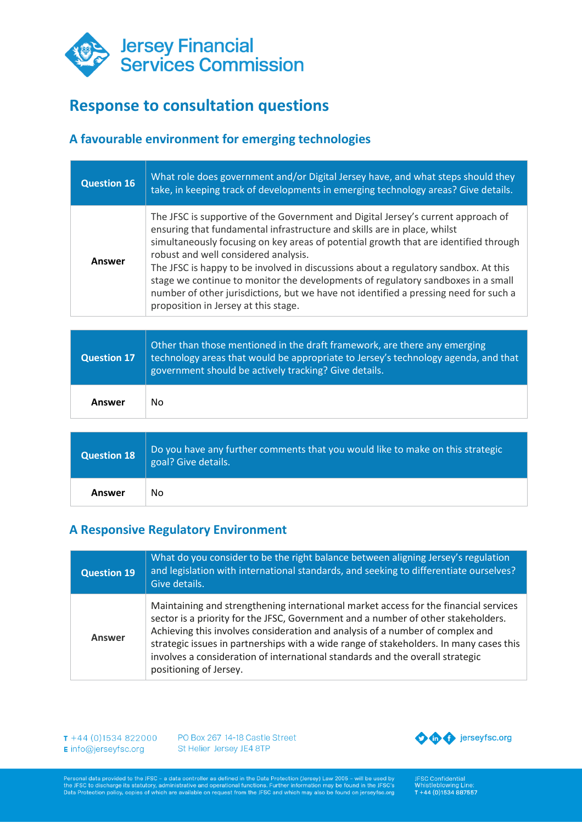

# **Response to consultation questions**

## **A favourable environment for emerging technologies**

| <b>Question 16</b> | What role does government and/or Digital Jersey have, and what steps should they<br>take, in keeping track of developments in emerging technology areas? Give details.                                                                                                                                                                                                                                                                                                                                                                                                                                   |
|--------------------|----------------------------------------------------------------------------------------------------------------------------------------------------------------------------------------------------------------------------------------------------------------------------------------------------------------------------------------------------------------------------------------------------------------------------------------------------------------------------------------------------------------------------------------------------------------------------------------------------------|
| Answer             | The JFSC is supportive of the Government and Digital Jersey's current approach of<br>ensuring that fundamental infrastructure and skills are in place, whilst<br>simultaneously focusing on key areas of potential growth that are identified through<br>robust and well considered analysis.<br>The JFSC is happy to be involved in discussions about a regulatory sandbox. At this<br>stage we continue to monitor the developments of regulatory sandboxes in a small<br>number of other jurisdictions, but we have not identified a pressing need for such a<br>proposition in Jersey at this stage. |
|                    |                                                                                                                                                                                                                                                                                                                                                                                                                                                                                                                                                                                                          |
| <b>Question 17</b> | Other than those mentioned in the draft framework, are there any emerging                                                                                                                                                                                                                                                                                                                                                                                                                                                                                                                                |
|                    | technology areas that would be appropriate to Jersey's technology agenda, and that<br>government should be actively tracking? Give details.                                                                                                                                                                                                                                                                                                                                                                                                                                                              |
| Answer             | <b>No</b>                                                                                                                                                                                                                                                                                                                                                                                                                                                                                                                                                                                                |
|                    |                                                                                                                                                                                                                                                                                                                                                                                                                                                                                                                                                                                                          |
| <b>Question 18</b> | Do you have any further comments that you would like to make on this strategic<br>goal? Give details.                                                                                                                                                                                                                                                                                                                                                                                                                                                                                                    |

#### **A Responsive Regulatory Environment**

| <b>Question 19</b> | What do you consider to be the right balance between aligning Jersey's regulation<br>and legislation with international standards, and seeking to differentiate ourselves?<br>Give details.                                                                                                                                                                                                                                                                     |
|--------------------|-----------------------------------------------------------------------------------------------------------------------------------------------------------------------------------------------------------------------------------------------------------------------------------------------------------------------------------------------------------------------------------------------------------------------------------------------------------------|
| Answer             | Maintaining and strengthening international market access for the financial services<br>sector is a priority for the JFSC, Government and a number of other stakeholders.<br>Achieving this involves consideration and analysis of a number of complex and<br>strategic issues in partnerships with a wide range of stakeholders. In many cases this<br>involves a consideration of international standards and the overall strategic<br>positioning of Jersey. |

T +44 (0)1534 822000 PO Box 267 14-18 Castle Street E info@jerseyfsc.org St Helier Jersey JE4 8TP



Personal data provided to the JFSC - a data controller as defined in the Data Protection (Jersey) Law 2005 - will be used by<br>the JFSC to discharge its statutory, administrative and operational functions. Further informatio

JFSC Confidential<br>Whistleblowing Line:<br>T +44 (0)1534 887557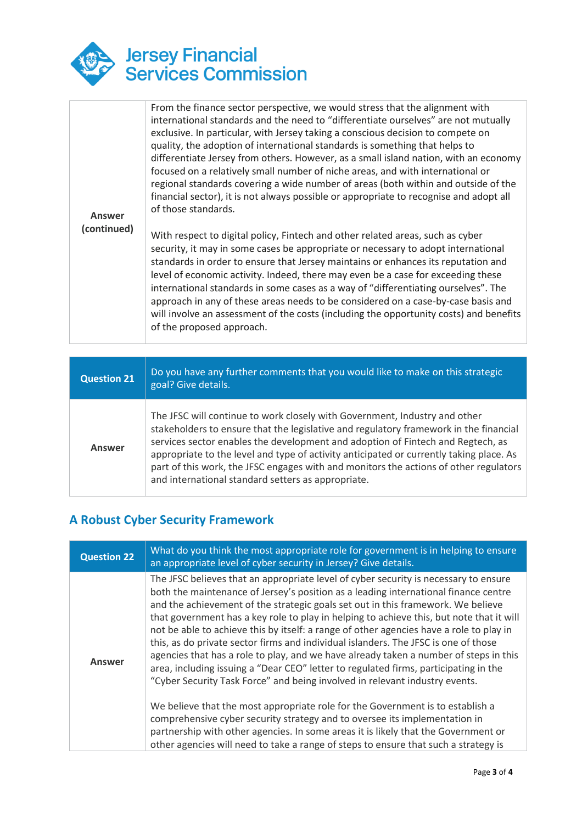

|             | From the finance sector perspective, we would stress that the alignment with<br>international standards and the need to "differentiate ourselves" are not mutually<br>exclusive. In particular, with Jersey taking a conscious decision to compete on<br>quality, the adoption of international standards is something that helps to<br>differentiate Jersey from others. However, as a small island nation, with an economy<br>focused on a relatively small number of niche areas, and with international or<br>regional standards covering a wide number of areas (both within and outside of the<br>financial sector), it is not always possible or appropriate to recognise and adopt all |
|-------------|------------------------------------------------------------------------------------------------------------------------------------------------------------------------------------------------------------------------------------------------------------------------------------------------------------------------------------------------------------------------------------------------------------------------------------------------------------------------------------------------------------------------------------------------------------------------------------------------------------------------------------------------------------------------------------------------|
| Answer      | of those standards.                                                                                                                                                                                                                                                                                                                                                                                                                                                                                                                                                                                                                                                                            |
| (continued) | With respect to digital policy, Fintech and other related areas, such as cyber<br>security, it may in some cases be appropriate or necessary to adopt international<br>standards in order to ensure that Jersey maintains or enhances its reputation and<br>level of economic activity. Indeed, there may even be a case for exceeding these<br>international standards in some cases as a way of "differentiating ourselves". The<br>approach in any of these areas needs to be considered on a case-by-case basis and<br>will involve an assessment of the costs (including the opportunity costs) and benefits<br>of the proposed approach.                                                 |

| <b>Question 21</b> | Do you have any further comments that you would like to make on this strategic<br>goal? Give details.                                                                                                                                                                                                                                                                                                                                                                                            |
|--------------------|--------------------------------------------------------------------------------------------------------------------------------------------------------------------------------------------------------------------------------------------------------------------------------------------------------------------------------------------------------------------------------------------------------------------------------------------------------------------------------------------------|
| <b>Answer</b>      | The JFSC will continue to work closely with Government, Industry and other<br>stakeholders to ensure that the legislative and regulatory framework in the financial<br>services sector enables the development and adoption of Fintech and Regtech, as<br>appropriate to the level and type of activity anticipated or currently taking place. As<br>part of this work, the JFSC engages with and monitors the actions of other regulators<br>and international standard setters as appropriate. |

## **A Robust Cyber Security Framework**

| <b>Question 22</b> | What do you think the most appropriate role for government is in helping to ensure<br>an appropriate level of cyber security in Jersey? Give details.                                                                                                                                                                                                                                                                                                                                                                                                                                                                                                                                                                                                                                                                                                                                                                                                                                                                                                                                                                                                      |
|--------------------|------------------------------------------------------------------------------------------------------------------------------------------------------------------------------------------------------------------------------------------------------------------------------------------------------------------------------------------------------------------------------------------------------------------------------------------------------------------------------------------------------------------------------------------------------------------------------------------------------------------------------------------------------------------------------------------------------------------------------------------------------------------------------------------------------------------------------------------------------------------------------------------------------------------------------------------------------------------------------------------------------------------------------------------------------------------------------------------------------------------------------------------------------------|
| Answer             | The JFSC believes that an appropriate level of cyber security is necessary to ensure<br>both the maintenance of Jersey's position as a leading international finance centre<br>and the achievement of the strategic goals set out in this framework. We believe<br>that government has a key role to play in helping to achieve this, but note that it will<br>not be able to achieve this by itself: a range of other agencies have a role to play in<br>this, as do private sector firms and individual islanders. The JFSC is one of those<br>agencies that has a role to play, and we have already taken a number of steps in this<br>area, including issuing a "Dear CEO" letter to regulated firms, participating in the<br>"Cyber Security Task Force" and being involved in relevant industry events.<br>We believe that the most appropriate role for the Government is to establish a<br>comprehensive cyber security strategy and to oversee its implementation in<br>partnership with other agencies. In some areas it is likely that the Government or<br>other agencies will need to take a range of steps to ensure that such a strategy is |